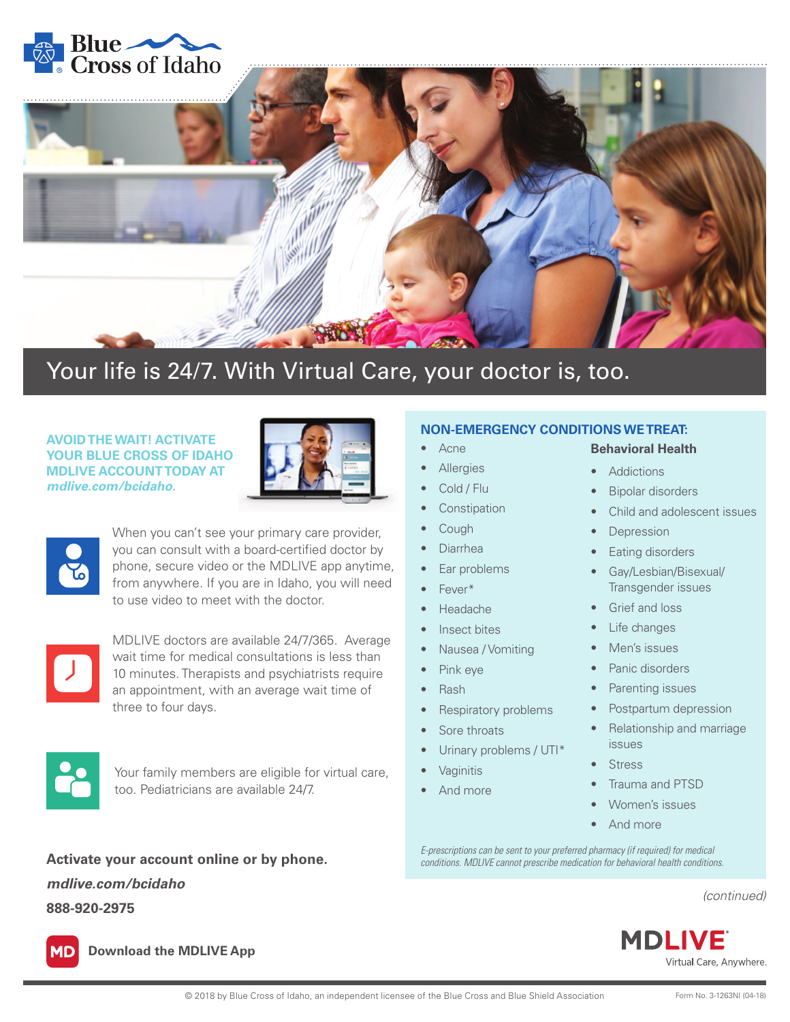



• Acne **Allergies** Cold / Flu **Constipation** • Cough • Diarrhea Ear problems

• Fever\* • Headache Insect bites

Pink eye • Rash

Sore throats

**Vaginitis** • And more

• Nausea / Vomiting

Respiratory problems

• Urinary problems / UTI\*

## Your life is 24/7. With Virtual Care, your doctor is, too.

## **AVOID THE WAIT! ACTIVATE YOUR BLUE CROSS OF IDAHO MDLIVE ACCOUNT TODAY AT**  *mdlive.com/bcidaho.*





When you can't see your primary care provider, you can consult with a board-certified doctor by phone, secure video or the MDLIVE app anytime, from anywhere. If you are in Idaho, you will need to use video to meet with the doctor.



MDLIVE doctors are available 24/7/365. Average wait time for medical consultations is less than 10 minutes. Therapists and psychiatrists require an appointment, with an average wait time of three to four days.



Your family members are eligible for virtual care, too. Pediatricians are available 24/7.

*mdlive.com/bcidaho* **888-920-2975**

## **NON-EMERGENCY CONDITIONS WE TREAT:**

## **Behavioral Health**

- Addictions
- **Bipolar disorders**
- Child and adolescent issues
- **Depression**
- Eating disorders
- Gay/Lesbian/Bisexual/ Transgender issues
- Grief and loss
- Life changes
- Men's issues
- Panic disorders
- Parenting issues
- Postpartum depression
- Relationship and marriage issues
- **Stress**
- Trauma and PTSD
- Women's issues
- And more

*E-prescriptions can be sent to your preferred pharmacy (if required) for medical* **Activate your account online or by phone.** *conditions. MDLIVE cannot prescribe medication for behavioral health conditions.*

*(continued)*



**Download the MDLIVE App**